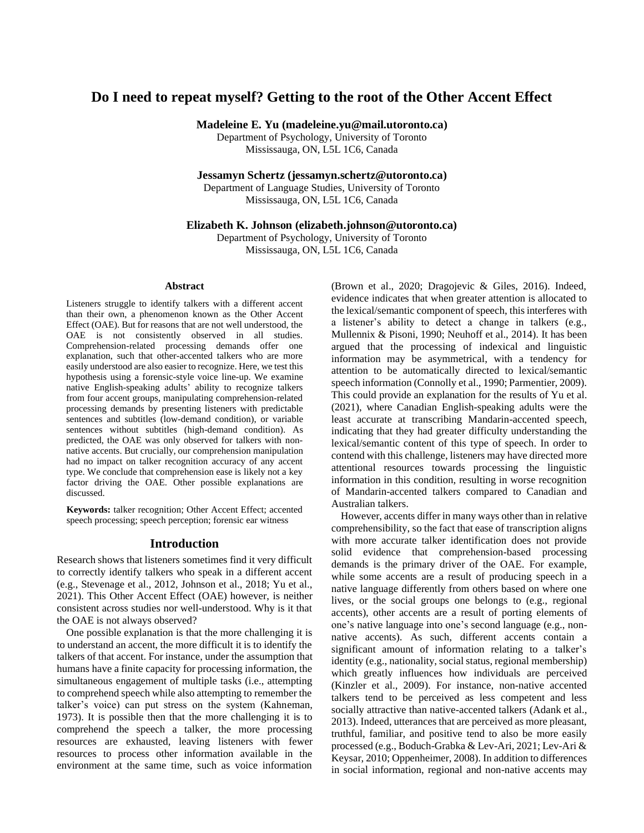# **Do I need to repeat myself? Getting to the root of the Other Accent Effect**

**Madeleine E. Yu (madeleine.yu@mail.utoronto.ca)**

Department of Psychology, University of Toronto Mississauga, ON, L5L 1C6, Canada

**Jessamyn Schertz (jessamyn.schertz@utoronto.ca)**

Department of Language Studies, University of Toronto Mississauga, ON, L5L 1C6, Canada

**Elizabeth K. Johnson (elizabeth.johnson@utoronto.ca)**

Department of Psychology, University of Toronto Mississauga, ON, L5L 1C6, Canada

#### **Abstract**

Listeners struggle to identify talkers with a different accent than their own, a phenomenon known as the Other Accent Effect (OAE). But for reasons that are not well understood, the OAE is not consistently observed in all studies. Comprehension-related processing demands offer one explanation, such that other-accented talkers who are more easily understood are also easier to recognize. Here, we test this hypothesis using a forensic-style voice line-up. We examine native English-speaking adults' ability to recognize talkers from four accent groups, manipulating comprehension-related processing demands by presenting listeners with predictable sentences and subtitles (low-demand condition), or variable sentences without subtitles (high-demand condition). As predicted, the OAE was only observed for talkers with nonnative accents. But crucially, our comprehension manipulation had no impact on talker recognition accuracy of any accent type. We conclude that comprehension ease is likely not a key factor driving the OAE. Other possible explanations are discussed.

**Keywords:** talker recognition; Other Accent Effect; accented speech processing; speech perception; forensic ear witness

### **Introduction**

Research shows that listeners sometimes find it very difficult to correctly identify talkers who speak in a different accent (e.g., Stevenage et al., 2012, Johnson et al., 2018; Yu et al., 2021). This Other Accent Effect (OAE) however, is neither consistent across studies nor well-understood. Why is it that the OAE is not always observed?

One possible explanation is that the more challenging it is to understand an accent, the more difficult it is to identify the talkers of that accent. For instance, under the assumption that humans have a finite capacity for processing information, the simultaneous engagement of multiple tasks (i.e., attempting to comprehend speech while also attempting to remember the talker's voice) can put stress on the system (Kahneman, 1973). It is possible then that the more challenging it is to comprehend the speech a talker, the more processing resources are exhausted, leaving listeners with fewer resources to process other information available in the environment at the same time, such as voice information

(Brown et al., 2020; Dragojevic & Giles, 2016). Indeed, evidence indicates that when greater attention is allocated to the lexical/semantic component of speech, this interferes with a listener's ability to detect a change in talkers (e.g., Mullennix & Pisoni, 1990; Neuhoff et al., 2014). It has been argued that the processing of indexical and linguistic information may be asymmetrical, with a tendency for attention to be automatically directed to lexical/semantic speech information (Connolly et al., 1990; Parmentier, 2009). This could provide an explanation for the results of Yu et al. (2021), where Canadian English-speaking adults were the least accurate at transcribing Mandarin-accented speech, indicating that they had greater difficulty understanding the lexical/semantic content of this type of speech. In order to contend with this challenge, listeners may have directed more attentional resources towards processing the linguistic information in this condition, resulting in worse recognition of Mandarin-accented talkers compared to Canadian and Australian talkers.

However, accents differ in many ways other than in relative comprehensibility, so the fact that ease of transcription aligns with more accurate talker identification does not provide solid evidence that comprehension-based processing demands is the primary driver of the OAE. For example, while some accents are a result of producing speech in a native language differently from others based on where one lives, or the social groups one belongs to (e.g., regional accents), other accents are a result of porting elements of one's native language into one's second language (e.g., nonnative accents). As such, different accents contain a significant amount of information relating to a talker's identity (e.g., nationality, social status, regional membership) which greatly influences how individuals are perceived (Kinzler et al., 2009). For instance, non-native accented talkers tend to be perceived as less competent and less socially attractive than native-accented talkers (Adank et al., 2013). Indeed, utterances that are perceived as more pleasant, truthful, familiar, and positive tend to also be more easily processed (e.g., Boduch-Grabka & Lev-Ari, 2021; Lev-Ari & Keysar, 2010; Oppenheimer, 2008). In addition to differences in social information, regional and non-native accents may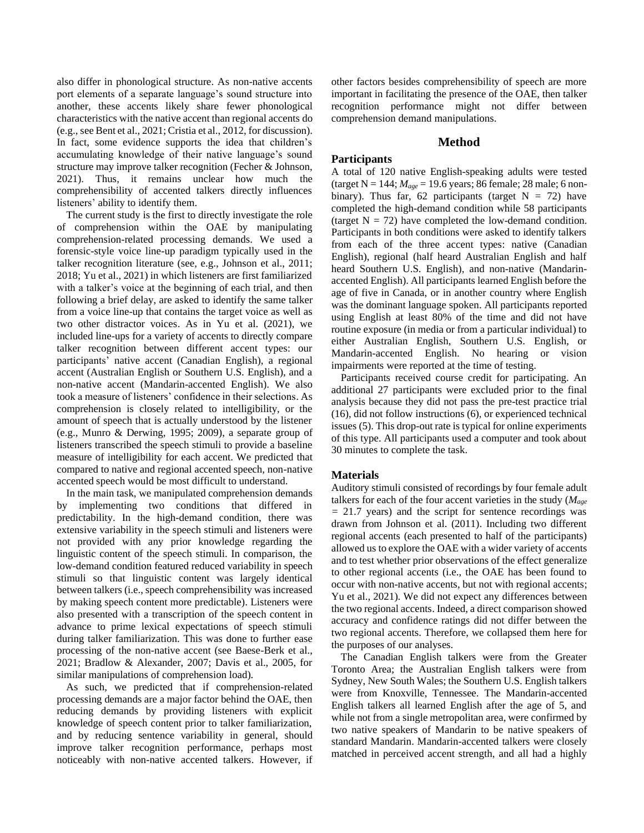also differ in phonological structure. As non-native accents port elements of a separate language's sound structure into another, these accents likely share fewer phonological characteristics with the native accent than regional accents do (e.g., see Bent et al., 2021; Cristia et al., 2012, for discussion). In fact, some evidence supports the idea that children's accumulating knowledge of their native language's sound structure may improve talker recognition (Fecher & Johnson, 2021). Thus, it remains unclear how much the comprehensibility of accented talkers directly influences listeners' ability to identify them.

The current study is the first to directly investigate the role of comprehension within the OAE by manipulating comprehension-related processing demands. We used a forensic-style voice line-up paradigm typically used in the talker recognition literature (see, e.g., Johnson et al., 2011; 2018; Yu et al., 2021) in which listeners are first familiarized with a talker's voice at the beginning of each trial, and then following a brief delay, are asked to identify the same talker from a voice line-up that contains the target voice as well as two other distractor voices. As in Yu et al. (2021), we included line-ups for a variety of accents to directly compare talker recognition between different accent types: our participants' native accent (Canadian English), a regional accent (Australian English or Southern U.S. English), and a non-native accent (Mandarin-accented English). We also took a measure of listeners' confidence in their selections. As comprehension is closely related to intelligibility, or the amount of speech that is actually understood by the listener (e.g., Munro & Derwing, 1995; 2009), a separate group of listeners transcribed the speech stimuli to provide a baseline measure of intelligibility for each accent. We predicted that compared to native and regional accented speech, non-native accented speech would be most difficult to understand.

In the main task, we manipulated comprehension demands by implementing two conditions that differed in predictability. In the high-demand condition, there was extensive variability in the speech stimuli and listeners were not provided with any prior knowledge regarding the linguistic content of the speech stimuli. In comparison, the low-demand condition featured reduced variability in speech stimuli so that linguistic content was largely identical between talkers (i.e., speech comprehensibility was increased by making speech content more predictable). Listeners were also presented with a transcription of the speech content in advance to prime lexical expectations of speech stimuli during talker familiarization. This was done to further ease processing of the non-native accent (see Baese-Berk et al., 2021; Bradlow & Alexander, 2007; Davis et al., 2005, for similar manipulations of comprehension load).

As such, we predicted that if comprehension-related processing demands are a major factor behind the OAE, then reducing demands by providing listeners with explicit knowledge of speech content prior to talker familiarization, and by reducing sentence variability in general, should improve talker recognition performance, perhaps most noticeably with non-native accented talkers. However, if

other factors besides comprehensibility of speech are more important in facilitating the presence of the OAE, then talker recognition performance might not differ between comprehension demand manipulations.

### **Method**

# **Participants**

A total of 120 native English-speaking adults were tested (target N = 144; *Mage* = 19.6 years; 86 female; 28 male; 6 nonbinary). Thus far, 62 participants (target  $N = 72$ ) have completed the high-demand condition while 58 participants (target  $N = 72$ ) have completed the low-demand condition. Participants in both conditions were asked to identify talkers from each of the three accent types: native (Canadian English), regional (half heard Australian English and half heard Southern U.S. English), and non-native (Mandarinaccented English). All participants learned English before the age of five in Canada, or in another country where English was the dominant language spoken. All participants reported using English at least 80% of the time and did not have routine exposure (in media or from a particular individual) to either Australian English, Southern U.S. English, or Mandarin-accented English. No hearing or vision impairments were reported at the time of testing.

Participants received course credit for participating. An additional 27 participants were excluded prior to the final analysis because they did not pass the pre-test practice trial (16), did not follow instructions (6), or experienced technical issues (5). This drop-out rate is typical for online experiments of this type. All participants used a computer and took about 30 minutes to complete the task.

# **Materials**

Auditory stimuli consisted of recordings by four female adult talkers for each of the four accent varieties in the study (*Mage =* 21.7 years) and the script for sentence recordings was drawn from Johnson et al. (2011). Including two different regional accents (each presented to half of the participants) allowed us to explore the OAE with a wider variety of accents and to test whether prior observations of the effect generalize to other regional accents (i.e., the OAE has been found to occur with non-native accents, but not with regional accents; Yu et al., 2021). We did not expect any differences between the two regional accents. Indeed, a direct comparison showed accuracy and confidence ratings did not differ between the two regional accents. Therefore, we collapsed them here for the purposes of our analyses.

The Canadian English talkers were from the Greater Toronto Area; the Australian English talkers were from Sydney, New South Wales; the Southern U.S. English talkers were from Knoxville, Tennessee. The Mandarin-accented English talkers all learned English after the age of 5, and while not from a single metropolitan area, were confirmed by two native speakers of Mandarin to be native speakers of standard Mandarin. Mandarin-accented talkers were closely matched in perceived accent strength, and all had a highly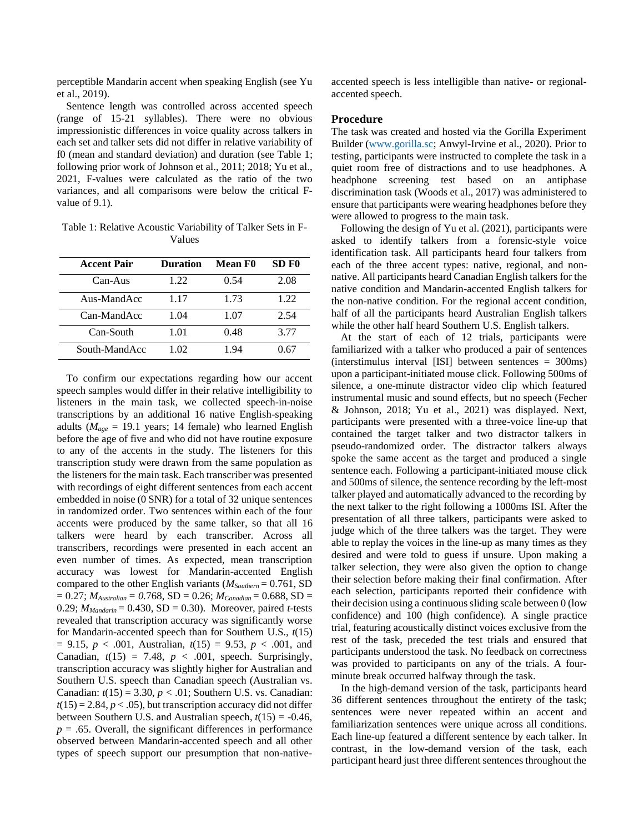perceptible Mandarin accent when speaking English (see Yu et al., 2019).

Sentence length was controlled across accented speech (range of 15-21 syllables). There were no obvious impressionistic differences in voice quality across talkers in each set and talker sets did not differ in relative variability of f0 (mean and standard deviation) and duration (see Table 1; following prior work of Johnson et al., 2011; 2018; Yu et al., 2021, F-values were calculated as the ratio of the two variances, and all comparisons were below the critical Fvalue of 9.1).

Table 1: Relative Acoustic Variability of Talker Sets in F-Values

| <b>Accent Pair</b> | <b>Duration</b> | Mean F <sub>0</sub> | SD <sub>F0</sub> |
|--------------------|-----------------|---------------------|------------------|
| $Can-Aus$          | 1.22            | 0.54                | 2.08             |
| Aus-MandAcc        | 1.17            | 1.73                | 1.22             |
| Can-MandAcc        | 1.04            | 1.07                | 2.54             |
| Can-South          | 1.01            | 0.48                | 3.77             |
| South-MandAcc      | 1.02            | 1.94                | 0.67             |

To confirm our expectations regarding how our accent speech samples would differ in their relative intelligibility to listeners in the main task, we collected speech-in-noise transcriptions by an additional 16 native English-speaking adults ( $M_{age} = 19.1$  years; 14 female) who learned English before the age of five and who did not have routine exposure to any of the accents in the study. The listeners for this transcription study were drawn from the same population as the listeners for the main task. Each transcriber was presented with recordings of eight different sentences from each accent embedded in noise (0 SNR) for a total of 32 unique sentences in randomized order. Two sentences within each of the four accents were produced by the same talker, so that all 16 talkers were heard by each transcriber. Across all transcribers, recordings were presented in each accent an even number of times. As expected, mean transcription accuracy was lowest for Mandarin-accented English compared to the other English variants (*MSouthern* = 0.761, SD  $= 0.27$ ; *M*<sub>Australian</sub>  $= 0.768$ , SD  $= 0.26$ ; *M*<sub>Canadian</sub>  $= 0.688$ , SD  $= 0.27$ 0.29;  $M_{Mandarin} = 0.430$ , SD = 0.30). Moreover, paired *t*-tests revealed that transcription accuracy was significantly worse for Mandarin-accented speech than for Southern U.S., *t*(15)  $= 9.15, p < .001,$  Australian,  $t(15) = 9.53, p < .001,$  and Canadian,  $t(15) = 7.48$ ,  $p < .001$ , speech. Surprisingly, transcription accuracy was slightly higher for Australian and Southern U.S. speech than Canadian speech (Australian vs. Canadian: *t*(15) = 3.30, *p <* .01; Southern U.S. vs. Canadian:  $t(15) = 2.84$ ,  $p < .05$ ), but transcription accuracy did not differ between Southern U.S. and Australian speech,  $t(15) = -0.46$ ,  $p = .65$ . Overall, the significant differences in performance observed between Mandarin-accented speech and all other types of speech support our presumption that non-nativeaccented speech is less intelligible than native- or regionalaccented speech.

#### **Procedure**

The task was created and hosted via the Gorilla Experiment Builder [\(www.gorilla.sc;](http://www.gorilla.sc/) Anwyl-Irvine et al., 2020). Prior to testing, participants were instructed to complete the task in a quiet room free of distractions and to use headphones. A headphone screening test based on an antiphase discrimination task (Woods et al., 2017) was administered to ensure that participants were wearing headphones before they were allowed to progress to the main task.

Following the design of Yu et al. (2021), participants were asked to identify talkers from a forensic-style voice identification task. All participants heard four talkers from each of the three accent types: native, regional, and nonnative. All participants heard Canadian English talkers for the native condition and Mandarin-accented English talkers for the non-native condition. For the regional accent condition, half of all the participants heard Australian English talkers while the other half heard Southern U.S. English talkers.

At the start of each of 12 trials, participants were familiarized with a talker who produced a pair of sentences (interstimulus interval [ISI] between sentences = 300ms) upon a participant-initiated mouse click. Following 500ms of silence, a one-minute distractor video clip which featured instrumental music and sound effects, but no speech (Fecher & Johnson, 2018; Yu et al., 2021) was displayed. Next, participants were presented with a three-voice line-up that contained the target talker and two distractor talkers in pseudo-randomized order. The distractor talkers always spoke the same accent as the target and produced a single sentence each. Following a participant-initiated mouse click and 500ms of silence, the sentence recording by the left-most talker played and automatically advanced to the recording by the next talker to the right following a 1000ms ISI. After the presentation of all three talkers, participants were asked to judge which of the three talkers was the target. They were able to replay the voices in the line-up as many times as they desired and were told to guess if unsure. Upon making a talker selection, they were also given the option to change their selection before making their final confirmation. After each selection, participants reported their confidence with their decision using a continuous sliding scale between 0 (low confidence) and 100 (high confidence). A single practice trial, featuring acoustically distinct voices exclusive from the rest of the task, preceded the test trials and ensured that participants understood the task. No feedback on correctness was provided to participants on any of the trials. A fourminute break occurred halfway through the task.

In the high-demand version of the task, participants heard 36 different sentences throughout the entirety of the task; sentences were never repeated within an accent and familiarization sentences were unique across all conditions. Each line-up featured a different sentence by each talker. In contrast, in the low-demand version of the task, each participant heard just three different sentences throughout the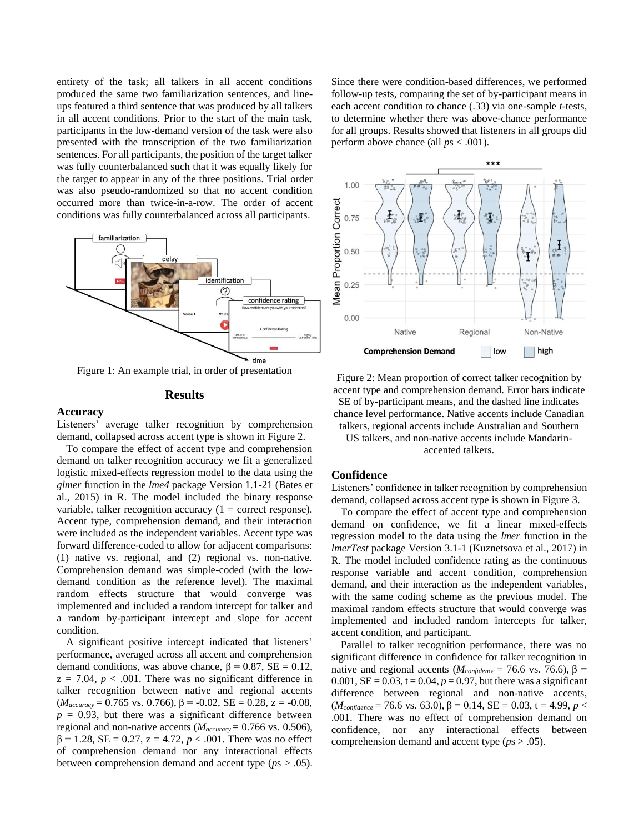entirety of the task; all talkers in all accent conditions produced the same two familiarization sentences, and lineups featured a third sentence that was produced by all talkers in all accent conditions. Prior to the start of the main task, participants in the low-demand version of the task were also presented with the transcription of the two familiarization sentences. For all participants, the position of the target talker was fully counterbalanced such that it was equally likely for the target to appear in any of the three positions. Trial order was also pseudo-randomized so that no accent condition occurred more than twice-in-a-row. The order of accent conditions was fully counterbalanced across all participants.



Figure 1: An example trial, in order of presentation

# **Results**

#### **Accuracy**

Listeners' average talker recognition by comprehension demand, collapsed across accent type is shown in Figure 2.

To compare the effect of accent type and comprehension demand on talker recognition accuracy we fit a generalized logistic mixed-effects regression model to the data using the *glmer* function in the *lme4* package Version 1.1-21 (Bates et al., 2015) in R. The model included the binary response variable, talker recognition accuracy  $(1 = \text{correct response}).$ Accent type, comprehension demand, and their interaction were included as the independent variables. Accent type was forward difference-coded to allow for adjacent comparisons: (1) native vs. regional, and (2) regional vs. non-native. Comprehension demand was simple-coded (with the lowdemand condition as the reference level). The maximal random effects structure that would converge was implemented and included a random intercept for talker and a random by-participant intercept and slope for accent condition.

A significant positive intercept indicated that listeners' performance, averaged across all accent and comprehension demand conditions, was above chance,  $\beta = 0.87$ ,  $SE = 0.12$ ,  $z = 7.04$ ,  $p < .001$ . There was no significant difference in talker recognition between native and regional accents (*Maccuracy* = 0.765 vs. 0.766), β = -0.02, SE = 0.28, z = -0.08,  $p = 0.93$ , but there was a significant difference between regional and non-native accents (*Maccuracy* = 0.766 vs. 0.506),  $β = 1.28$ ,  $SE = 0.27$ ,  $z = 4.72$ ,  $p < .001$ . There was no effect of comprehension demand nor any interactional effects between comprehension demand and accent type (*p*s > .05). Since there were condition-based differences, we performed follow-up tests, comparing the set of by-participant means in each accent condition to chance (.33) via one-sample *t*-tests, to determine whether there was above-chance performance for all groups. Results showed that listeners in all groups did perform above chance (all *p*s < .001).



Figure 2: Mean proportion of correct talker recognition by accent type and comprehension demand. Error bars indicate SE of by-participant means, and the dashed line indicates chance level performance. Native accents include Canadian talkers, regional accents include Australian and Southern

US talkers, and non-native accents include Mandarinaccented talkers.

#### **Confidence**

Listeners' confidence in talker recognition by comprehension demand, collapsed across accent type is shown in Figure 3.

To compare the effect of accent type and comprehension demand on confidence, we fit a linear mixed-effects regression model to the data using the *lmer* function in the *lmerTest* package Version 3.1-1 (Kuznetsova et al., 2017) in R. The model included confidence rating as the continuous response variable and accent condition, comprehension demand, and their interaction as the independent variables, with the same coding scheme as the previous model. The maximal random effects structure that would converge was implemented and included random intercepts for talker, accent condition, and participant.

Parallel to talker recognition performance, there was no significant difference in confidence for talker recognition in native and regional accents ( $M_{confidence}$  = 76.6 vs. 76.6), β = 0.001,  $SE = 0.03$ ,  $t = 0.04$ ,  $p = 0.97$ , but there was a significant difference between regional and non-native accents,  $(M_{confidence} = 76.6$  vs. 63.0),  $β = 0.14$ ,  $SE = 0.03$ ,  $t = 4.99$ ,  $p <$ .001. There was no effect of comprehension demand on confidence, nor any interactional effects between comprehension demand and accent type (*p*s > .05).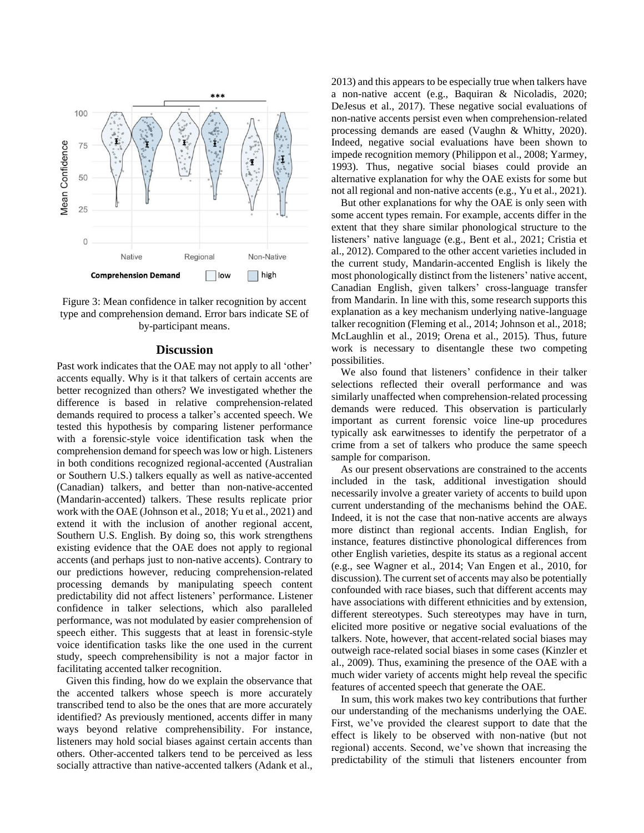

Figure 3: Mean confidence in talker recognition by accent type and comprehension demand. Error bars indicate SE of by-participant means.

#### **Discussion**

Past work indicates that the OAE may not apply to all 'other' accents equally. Why is it that talkers of certain accents are better recognized than others? We investigated whether the difference is based in relative comprehension-related demands required to process a talker's accented speech. We tested this hypothesis by comparing listener performance with a forensic-style voice identification task when the comprehension demand for speech was low or high. Listeners in both conditions recognized regional-accented (Australian or Southern U.S.) talkers equally as well as native-accented (Canadian) talkers, and better than non-native-accented (Mandarin-accented) talkers. These results replicate prior work with the OAE (Johnson et al., 2018; Yu et al., 2021) and extend it with the inclusion of another regional accent, Southern U.S. English. By doing so, this work strengthens existing evidence that the OAE does not apply to regional accents (and perhaps just to non-native accents). Contrary to our predictions however, reducing comprehension-related processing demands by manipulating speech content predictability did not affect listeners' performance. Listener confidence in talker selections, which also paralleled performance, was not modulated by easier comprehension of speech either. This suggests that at least in forensic-style voice identification tasks like the one used in the current study, speech comprehensibility is not a major factor in facilitating accented talker recognition.

Given this finding, how do we explain the observance that the accented talkers whose speech is more accurately transcribed tend to also be the ones that are more accurately identified? As previously mentioned, accents differ in many ways beyond relative comprehensibility. For instance, listeners may hold social biases against certain accents than others. Other-accented talkers tend to be perceived as less socially attractive than native-accented talkers (Adank et al., 2013) and this appears to be especially true when talkers have a non-native accent (e.g., Baquiran & Nicoladis, 2020; DeJesus et al., 2017). These negative social evaluations of non-native accents persist even when comprehension-related processing demands are eased (Vaughn & Whitty, 2020). Indeed, negative social evaluations have been shown to impede recognition memory (Philippon et al., 2008; Yarmey, 1993). Thus, negative social biases could provide an alternative explanation for why the OAE exists for some but not all regional and non-native accents (e.g., Yu et al., 2021).

But other explanations for why the OAE is only seen with some accent types remain. For example, accents differ in the extent that they share similar phonological structure to the listeners' native language (e.g., Bent et al., 2021; Cristia et al., 2012). Compared to the other accent varieties included in the current study, Mandarin-accented English is likely the most phonologically distinct from the listeners' native accent, Canadian English, given talkers' cross-language transfer from Mandarin. In line with this, some research supports this explanation as a key mechanism underlying native-language talker recognition (Fleming et al., 2014; Johnson et al., 2018; McLaughlin et al., 2019; Orena et al., 2015). Thus, future work is necessary to disentangle these two competing possibilities.

We also found that listeners' confidence in their talker selections reflected their overall performance and was similarly unaffected when comprehension-related processing demands were reduced. This observation is particularly important as current forensic voice line-up procedures typically ask earwitnesses to identify the perpetrator of a crime from a set of talkers who produce the same speech sample for comparison.

As our present observations are constrained to the accents included in the task, additional investigation should necessarily involve a greater variety of accents to build upon current understanding of the mechanisms behind the OAE. Indeed, it is not the case that non-native accents are always more distinct than regional accents. Indian English, for instance, features distinctive phonological differences from other English varieties, despite its status as a regional accent (e.g., see Wagner et al., 2014; Van Engen et al., 2010, for discussion). The current set of accents may also be potentially confounded with race biases, such that different accents may have associations with different ethnicities and by extension, different stereotypes. Such stereotypes may have in turn, elicited more positive or negative social evaluations of the talkers. Note, however, that accent-related social biases may outweigh race-related social biases in some cases (Kinzler et al., 2009). Thus, examining the presence of the OAE with a much wider variety of accents might help reveal the specific features of accented speech that generate the OAE.

In sum, this work makes two key contributions that further our understanding of the mechanisms underlying the OAE. First, we've provided the clearest support to date that the effect is likely to be observed with non-native (but not regional) accents. Second, we've shown that increasing the predictability of the stimuli that listeners encounter from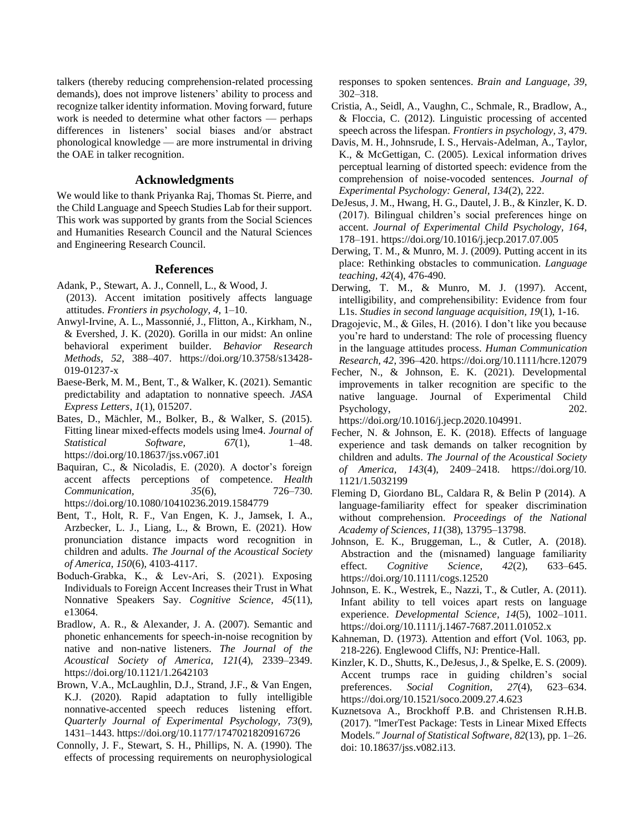talkers (thereby reducing comprehension-related processing demands), does not improve listeners' ability to process and recognize talker identity information. Moving forward, future work is needed to determine what other factors — perhaps differences in listeners' social biases and/or abstract phonological knowledge — are more instrumental in driving the OAE in talker recognition.

## **Acknowledgments**

We would like to thank Priyanka Raj, Thomas St. Pierre, and the Child Language and Speech Studies Lab for their support. This work was supported by grants from the Social Sciences and Humanities Research Council and the Natural Sciences and Engineering Research Council.

#### **References**

- Adank, P., Stewart, A. J., Connell, L., & Wood, J. (2013). Accent imitation positively affects language attitudes. *Frontiers in psychology, 4*, 1–10.
- Anwyl-Irvine, A. L., Massonnié, J., Flitton, A., Kirkham, N., & Evershed, J. K. (2020). Gorilla in our midst: An online behavioral experiment builder. *Behavior Research Methods, 52*, 388–407. [https://doi.org/10.3758/s13428-](https://doi.org/10.3758/s13428-019-01237-x) [019-01237-x](https://doi.org/10.3758/s13428-019-01237-x)
- Baese-Berk, M. M., Bent, T., & Walker, K. (2021). Semantic predictability and adaptation to nonnative speech. *JASA Express Letters, 1*(1), 015207.
- Bates, D., Mächler, M., Bolker, B., & Walker, S. (2015). Fitting linear mixed-effects models using lme4. *Journal of Statistical Software, 67*(1), 1–48. <https://doi.org/10.18637/jss.v067.i01>
- Baquiran, C., & Nicoladis, E. (2020). A doctor's foreign accent affects perceptions of competence. *Health Communication, 35*(6), 726–730. <https://doi.org/10.1080/10410236.2019.1584779>
- Bent, T., Holt, R. F., Van Engen, K. J., Jamsek, I. A., Arzbecker, L. J., Liang, L., & Brown, E. (2021). How pronunciation distance impacts word recognition in children and adults. *The Journal of the Acoustical Society of America, 150*(6), 4103-4117.
- Boduch‐Grabka, K., & Lev‐Ari, S. (2021). Exposing Individuals to Foreign Accent Increases their Trust in What Nonnative Speakers Say. *Cognitive Science, 45*(11), e13064.
- Bradlow, A. R., & Alexander, J. A. (2007). Semantic and phonetic enhancements for speech-in-noise recognition by native and non-native listeners. *The Journal of the Acoustical Society of America, 121*(4), 2339–2349. <https://doi.org/10.1121/1.2642103>
- Brown, V.A., McLaughlin, D.J., Strand, J.F., & Van Engen, K.J. (2020). Rapid adaptation to fully intelligible nonnative-accented speech reduces listening effort. *Quarterly Journal of Experimental Psychology, 73*(9), 1431–1443.<https://doi.org/10.1177/1747021820916726>
- Connolly, J. F., Stewart, S. H., Phillips, N. A. (1990). The effects of processing requirements on neurophysiological

responses to spoken sentences. *Brain and Language, 39*, 302–318.

- Cristia, A., Seidl, A., Vaughn, C., Schmale, R., Bradlow, A., & Floccia, C. (2012). Linguistic processing of accented speech across the lifespan. *Frontiers in psychology, 3*, 479.
- Davis, M. H., Johnsrude, I. S., Hervais-Adelman, A., Taylor, K., & McGettigan, C. (2005). Lexical information drives perceptual learning of distorted speech: evidence from the comprehension of noise-vocoded sentences. *Journal of Experimental Psychology: General, 134*(2), 222.
- DeJesus, J. M., Hwang, H. G., Dautel, J. B., & Kinzler, K. D. (2017). Bilingual children's social preferences hinge on accent. *Journal of Experimental Child Psychology, 164,* 178–191.<https://doi.org/10.1016/j.jecp.2017.07.005>
- Derwing, T. M., & Munro, M. J. (2009). Putting accent in its place: Rethinking obstacles to communication. *Language teaching, 42*(4), 476-490.
- Derwing, T. M., & Munro, M. J. (1997). Accent, intelligibility, and comprehensibility: Evidence from four L1s. *Studies in second language acquisition, 19*(1), 1-16.
- Dragojevic, M., & Giles, H. (2016). I don't like you because you're hard to understand: The role of processing fluency in the language attitudes process. *Human Communication Research, 42*, 396–420.<https://doi.org/10.1111/hcre.12079>
- Fecher, N., & Johnson, E. K. (2021). Developmental improvements in talker recognition are specific to the native language. Journal of Experimental Child Psychology, 202.

https://doi.org/10.1016/j.jecp.2020.104991.

- Fecher, N. & Johnson, E. K. (2018). Effects of language experience and task demands on talker recognition by children and adults. *The Journal of the Acoustical Society of America, 143*(4), 2409–2418. [https://doi.org/10.](https://doi.org/10.%201121/1.5032199)  [1121/1.5032199](https://doi.org/10.%201121/1.5032199)
- Fleming D, Giordano BL, Caldara R, & Belin P (2014). A language-familiarity effect for speaker discrimination without comprehension. *Proceedings of the National Academy of Sciences, 11*(38), 13795–13798.
- Johnson, E. K., Bruggeman, L., & Cutler, A. (2018). Abstraction and the (misnamed) language familiarity effect. *Cognitive Science, 42*(2), 633–645. <https://doi.org/10.1111/cogs.12520>
- Johnson, E. K., Westrek, E., Nazzi, T., & Cutler, A. (2011). Infant ability to tell voices apart rests on language experience. *Developmental Science, 14*(5), 1002–1011. https://doi.org/10.1111/j.1467-7687.2011.01052.x
- Kahneman, D. (1973). Attention and effort (Vol. 1063, pp. 218-226). Englewood Cliffs, NJ: Prentice-Hall.
- Kinzler, K. D., Shutts, K., DeJesus, J., & Spelke, E. S. (2009). Accent trumps race in guiding children's social preferences. *Social Cognition, 27*(4), 623–634. https://doi.org/10.1521/soco.2009.27.4.623
- Kuznetsova A., Brockhoff P.B. and Christensen R.H.B. (2017). "lmerTest Package: Tests in Linear Mixed Effects Models*." Journal of Statistical Software, 82*(13), pp. 1–26. doi: 10.18637/jss.v082.i13.